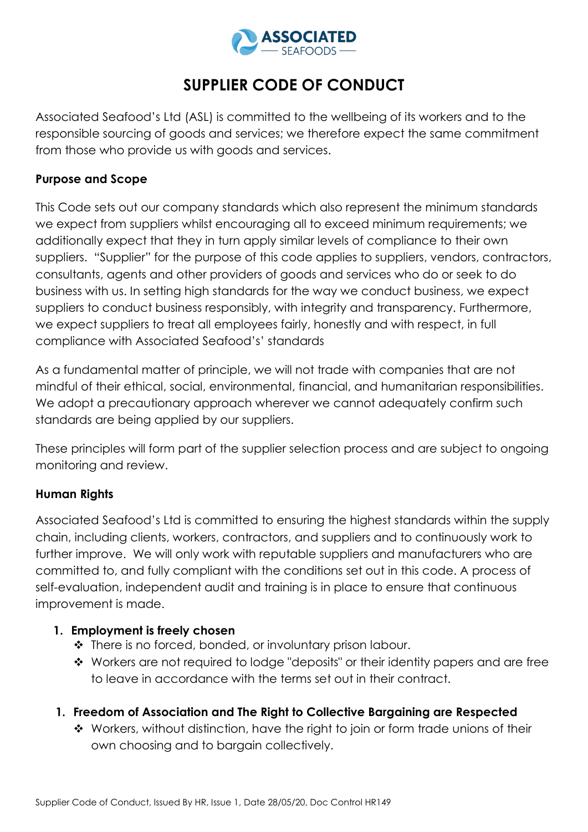

# **SUPPLIER CODE OF CONDUCT**

Associated Seafood's Ltd (ASL) is committed to the wellbeing of its workers and to the responsible sourcing of goods and services; we therefore expect the same commitment from those who provide us with goods and services.

## **Purpose and Scope**

This Code sets out our company standards which also represent the minimum standards we expect from suppliers whilst encouraging all to exceed minimum requirements; we additionally expect that they in turn apply similar levels of compliance to their own suppliers. "Supplier" for the purpose of this code applies to suppliers, vendors, contractors, consultants, agents and other providers of goods and services who do or seek to do business with us. In setting high standards for the way we conduct business, we expect suppliers to conduct business responsibly, with integrity and transparency. Furthermore, we expect suppliers to treat all employees fairly, honestly and with respect, in full compliance with Associated Seafood's' standards

As a fundamental matter of principle, we will not trade with companies that are not mindful of their ethical, social, environmental, financial, and humanitarian responsibilities. We adopt a precautionary approach wherever we cannot adequately confirm such standards are being applied by our suppliers.

These principles will form part of the supplier selection process and are subject to ongoing monitoring and review.

# **Human Rights**

Associated Seafood's Ltd is committed to ensuring the highest standards within the supply chain, including clients, workers, contractors, and suppliers and to continuously work to further improve. We will only work with reputable suppliers and manufacturers who are committed to, and fully compliant with the conditions set out in this code. A process of self-evaluation, independent audit and training is in place to ensure that continuous improvement is made.

# **1. Employment is freely chosen**

- ◆ There is no forced, bonded, or involuntary prison labour.
- Workers are not required to lodge "deposits" or their identity papers and are free to leave in accordance with the terms set out in their contract.
- **1. Freedom of Association and The Right to Collective Bargaining are Respected**
	- ◆ Workers, without distinction, have the right to join or form trade unions of their own choosing and to bargain collectively.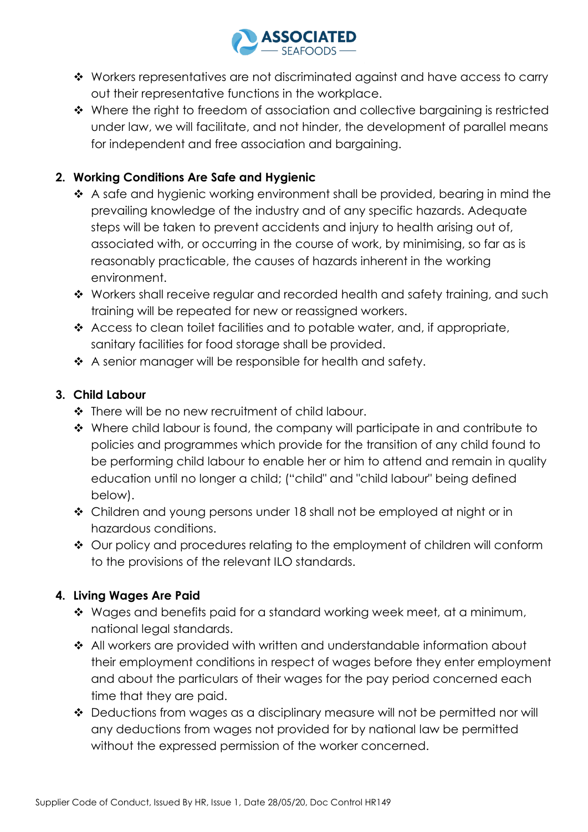

- \* Workers representatives are not discriminated against and have access to carry out their representative functions in the workplace.
- $\cdot$  Where the right to freedom of association and collective bargaining is restricted under law, we will facilitate, and not hinder, the development of parallel means for independent and free association and bargaining.

# **2. Working Conditions Are Safe and Hygienic**

- \* A safe and hygienic working environment shall be provided, bearing in mind the prevailing knowledge of the industry and of any specific hazards. Adequate steps will be taken to prevent accidents and injury to health arising out of, associated with, or occurring in the course of work, by minimising, so far as is reasonably practicable, the causes of hazards inherent in the working environment.
- Workers shall receive regular and recorded health and safety training, and such training will be repeated for new or reassigned workers.
- $\triangle$  Access to clean toilet facilities and to potable water, and, if appropriate, sanitary facilities for food storage shall be provided.
- $\triangle$  A senior manager will be responsible for health and safety.

# **3. Child Labour**

- ◆ There will be no new recruitment of child labour.
- ◆ Where child labour is found, the company will participate in and contribute to policies and programmes which provide for the transition of any child found to be performing child labour to enable her or him to attend and remain in quality education until no longer a child; ("child" and "child labour" being defined below).
- Children and young persons under 18 shall not be employed at night or in hazardous conditions.
- ◆ Our policy and procedures relating to the employment of children will conform to the provisions of the relevant ILO standards.

# **4. Living Wages Are Paid**

- \* Wages and benefits paid for a standard working week meet, at a minimum, national legal standards.
- ◆ All workers are provided with written and understandable information about their employment conditions in respect of wages before they enter employment and about the particulars of their wages for the pay period concerned each time that they are paid.
- ◆ Deductions from wages as a disciplinary measure will not be permitted nor will any deductions from wages not provided for by national law be permitted without the expressed permission of the worker concerned.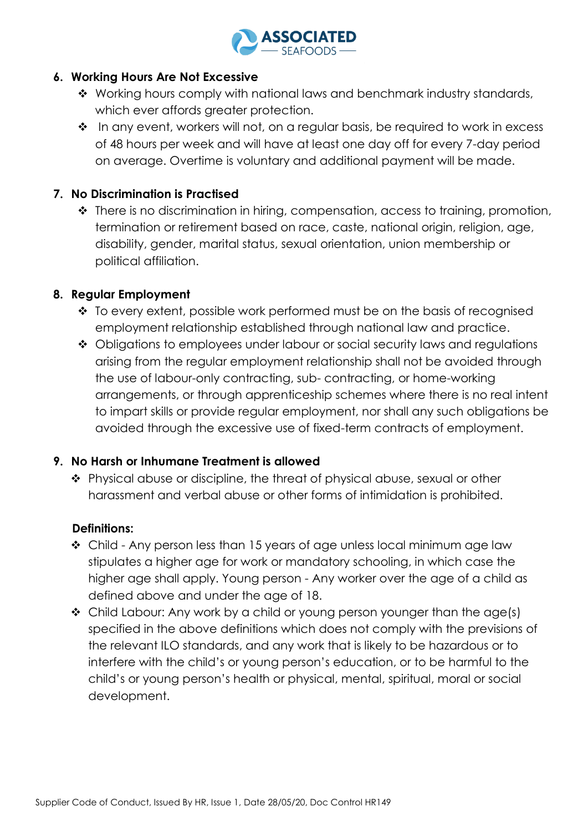

#### **6. Working Hours Are Not Excessive**

- \* Working hours comply with national laws and benchmark industry standards, which ever affords greater protection.
- \* In any event, workers will not, on a regular basis, be required to work in excess of 48 hours per week and will have at least one day off for every 7-day period on average. Overtime is voluntary and additional payment will be made.

## **7. No Discrimination is Practised**

◆ There is no discrimination in hiring, compensation, access to training, promotion, termination or retirement based on race, caste, national origin, religion, age, disability, gender, marital status, sexual orientation, union membership or political affiliation.

## **8. Regular Employment**

- $\cdot$  To every extent, possible work performed must be on the basis of recognised employment relationship established through national law and practice.
- ◆ Obligations to employees under labour or social security laws and regulations arising from the regular employment relationship shall not be avoided through the use of labour-only contracting, sub- contracting, or home-working arrangements, or through apprenticeship schemes where there is no real intent to impart skills or provide regular employment, nor shall any such obligations be avoided through the excessive use of fixed-term contracts of employment.

#### **9. No Harsh or Inhumane Treatment is allowed**

 Physical abuse or discipline, the threat of physical abuse, sexual or other harassment and verbal abuse or other forms of intimidation is prohibited.

# **Definitions:**

- $\div$  Child Any person less than 15 years of age unless local minimum age law stipulates a higher age for work or mandatory schooling, in which case the higher age shall apply. Young person - Any worker over the age of a child as defined above and under the age of 18.
- \* Child Labour: Any work by a child or young person younger than the age(s) specified in the above definitions which does not comply with the previsions of the relevant ILO standards, and any work that is likely to be hazardous or to interfere with the child's or young person's education, or to be harmful to the child's or young person's health or physical, mental, spiritual, moral or social development.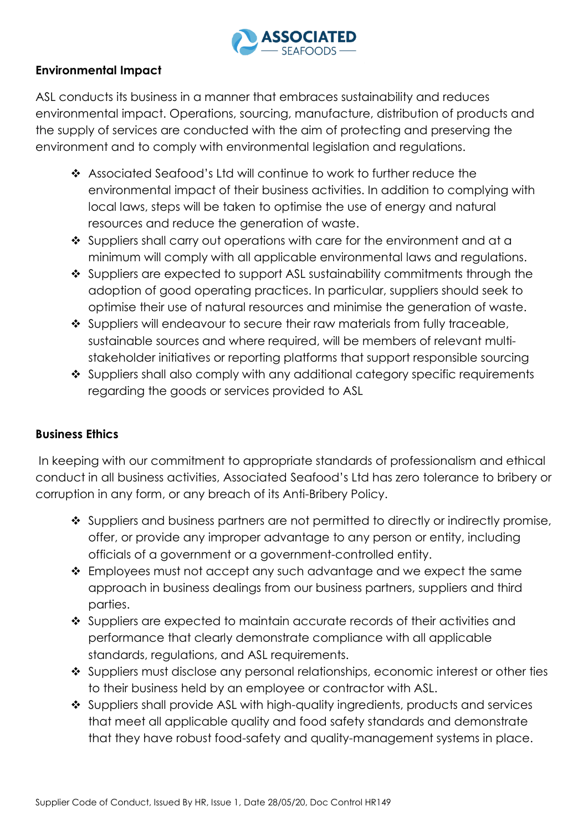

## **Environmental Impact**

ASL conducts its business in a manner that embraces sustainability and reduces environmental impact. Operations, sourcing, manufacture, distribution of products and the supply of services are conducted with the aim of protecting and preserving the environment and to comply with environmental legislation and regulations.

- Associated Seafood's Ltd will continue to work to further reduce the environmental impact of their business activities. In addition to complying with local laws, steps will be taken to optimise the use of energy and natural resources and reduce the generation of waste.
- ❖ Suppliers shall carry out operations with care for the environment and at a minimum will comply with all applicable environmental laws and regulations.
- Suppliers are expected to support ASL sustainability commitments through the adoption of good operating practices. In particular, suppliers should seek to optimise their use of natural resources and minimise the generation of waste.
- ◆ Suppliers will endeavour to secure their raw materials from fully traceable, sustainable sources and where required, will be members of relevant multistakeholder initiatives or reporting platforms that support responsible sourcing
- Suppliers shall also comply with any additional category specific requirements regarding the goods or services provided to ASL

#### **Business Ethics**

In keeping with our commitment to appropriate standards of professionalism and ethical conduct in all business activities, Associated Seafood's Ltd has zero tolerance to bribery or corruption in any form, or any breach of its Anti-Bribery Policy.

- Suppliers and business partners are not permitted to directly or indirectly promise, offer, or provide any improper advantage to any person or entity, including officials of a government or a government-controlled entity.
- $\cdot$  Employees must not accept any such advantage and we expect the same approach in business dealings from our business partners, suppliers and third parties.
- Suppliers are expected to maintain accurate records of their activities and performance that clearly demonstrate compliance with all applicable standards, regulations, and ASL requirements.
- Suppliers must disclose any personal relationships, economic interest or other ties to their business held by an employee or contractor with ASL.
- ◆ Suppliers shall provide ASL with high-quality ingredients, products and services that meet all applicable quality and food safety standards and demonstrate that they have robust food-safety and quality-management systems in place.